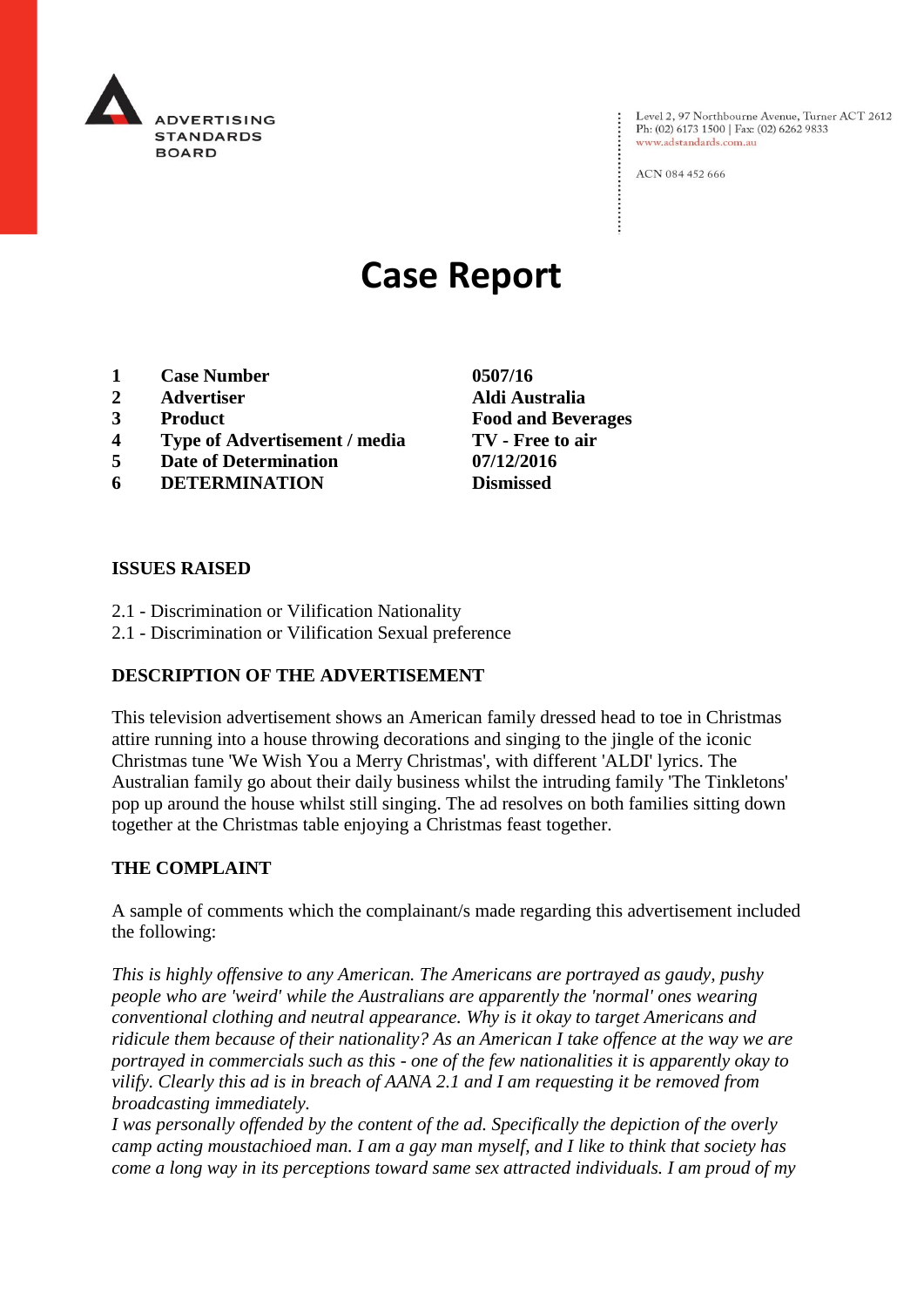

Level 2, 97 Northbourne Avenue, Turner ACT 2612 Ph: (02) 6173 1500 | Fax: (02) 6262 9833 www.adstandards.com.au

ACN 084 452 666

# **Case Report**

- **1 Case Number 0507/16**
- **2 Advertiser Aldi Australia**
- **3 Product Food and Beverages**
- **4 Type of Advertisement / media TV - Free to air**
- **5 Date of Determination 07/12/2016**
- **6 DETERMINATION Dismissed**

**ISSUES RAISED**

- 2.1 Discrimination or Vilification Nationality
- 2.1 Discrimination or Vilification Sexual preference

## **DESCRIPTION OF THE ADVERTISEMENT**

This television advertisement shows an American family dressed head to toe in Christmas attire running into a house throwing decorations and singing to the jingle of the iconic Christmas tune 'We Wish You a Merry Christmas', with different 'ALDI' lyrics. The Australian family go about their daily business whilst the intruding family 'The Tinkletons' pop up around the house whilst still singing. The ad resolves on both families sitting down together at the Christmas table enjoying a Christmas feast together.

#### **THE COMPLAINT**

A sample of comments which the complainant/s made regarding this advertisement included the following:

*This is highly offensive to any American. The Americans are portrayed as gaudy, pushy people who are 'weird' while the Australians are apparently the 'normal' ones wearing conventional clothing and neutral appearance. Why is it okay to target Americans and ridicule them because of their nationality? As an American I take offence at the way we are portrayed in commercials such as this - one of the few nationalities it is apparently okay to vilify. Clearly this ad is in breach of AANA 2.1 and I am requesting it be removed from broadcasting immediately.*

*I was personally offended by the content of the ad. Specifically the depiction of the overly camp acting moustachioed man. I am a gay man myself, and I like to think that society has come a long way in its perceptions toward same sex attracted individuals. I am proud of my*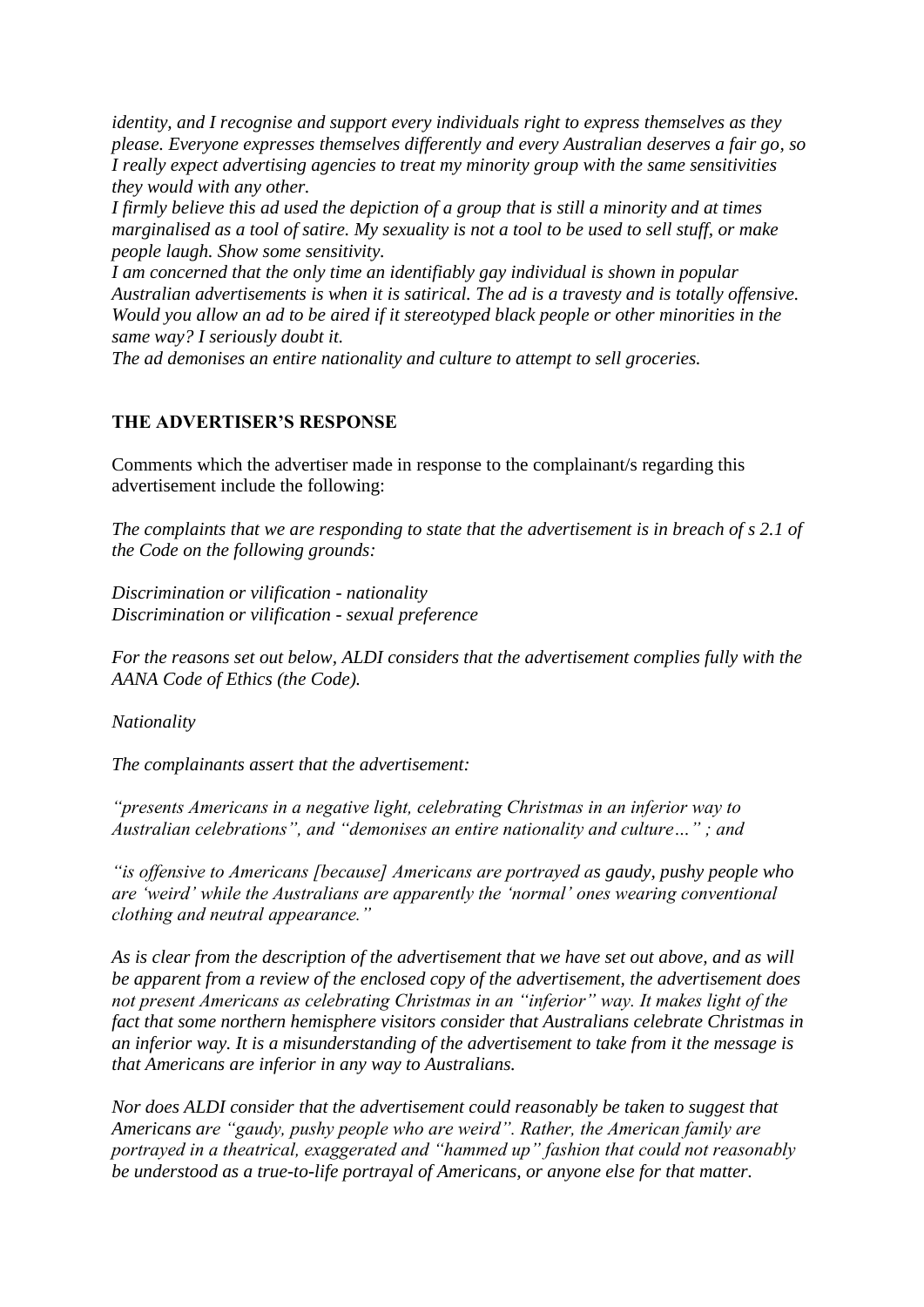*identity, and I recognise and support every individuals right to express themselves as they please. Everyone expresses themselves differently and every Australian deserves a fair go, so I really expect advertising agencies to treat my minority group with the same sensitivities they would with any other.*

*I firmly believe this ad used the depiction of a group that is still a minority and at times marginalised as a tool of satire. My sexuality is not a tool to be used to sell stuff, or make people laugh. Show some sensitivity.*

*I am concerned that the only time an identifiably gay individual is shown in popular Australian advertisements is when it is satirical. The ad is a travesty and is totally offensive. Would you allow an ad to be aired if it stereotyped black people or other minorities in the same way? I seriously doubt it.*

*The ad demonises an entire nationality and culture to attempt to sell groceries.*

## **THE ADVERTISER'S RESPONSE**

Comments which the advertiser made in response to the complainant/s regarding this advertisement include the following:

*The complaints that we are responding to state that the advertisement is in breach of s 2.1 of the Code on the following grounds:*

*Discrimination or vilification - nationality Discrimination or vilification - sexual preference*

*For the reasons set out below, ALDI considers that the advertisement complies fully with the AANA Code of Ethics (the Code).*

*Nationality*

*The complainants assert that the advertisement:*

*"presents Americans in a negative light, celebrating Christmas in an inferior way to Australian celebrations", and "demonises an entire nationality and culture…" ; and*

*"is offensive to Americans [because] Americans are portrayed as gaudy, pushy people who are 'weird' while the Australians are apparently the 'normal' ones wearing conventional clothing and neutral appearance."*

*As is clear from the description of the advertisement that we have set out above, and as will be apparent from a review of the enclosed copy of the advertisement, the advertisement does not present Americans as celebrating Christmas in an "inferior" way. It makes light of the fact that some northern hemisphere visitors consider that Australians celebrate Christmas in an inferior way. It is a misunderstanding of the advertisement to take from it the message is that Americans are inferior in any way to Australians.*

*Nor does ALDI consider that the advertisement could reasonably be taken to suggest that Americans are "gaudy, pushy people who are weird". Rather, the American family are portrayed in a theatrical, exaggerated and "hammed up" fashion that could not reasonably be understood as a true-to-life portrayal of Americans, or anyone else for that matter.*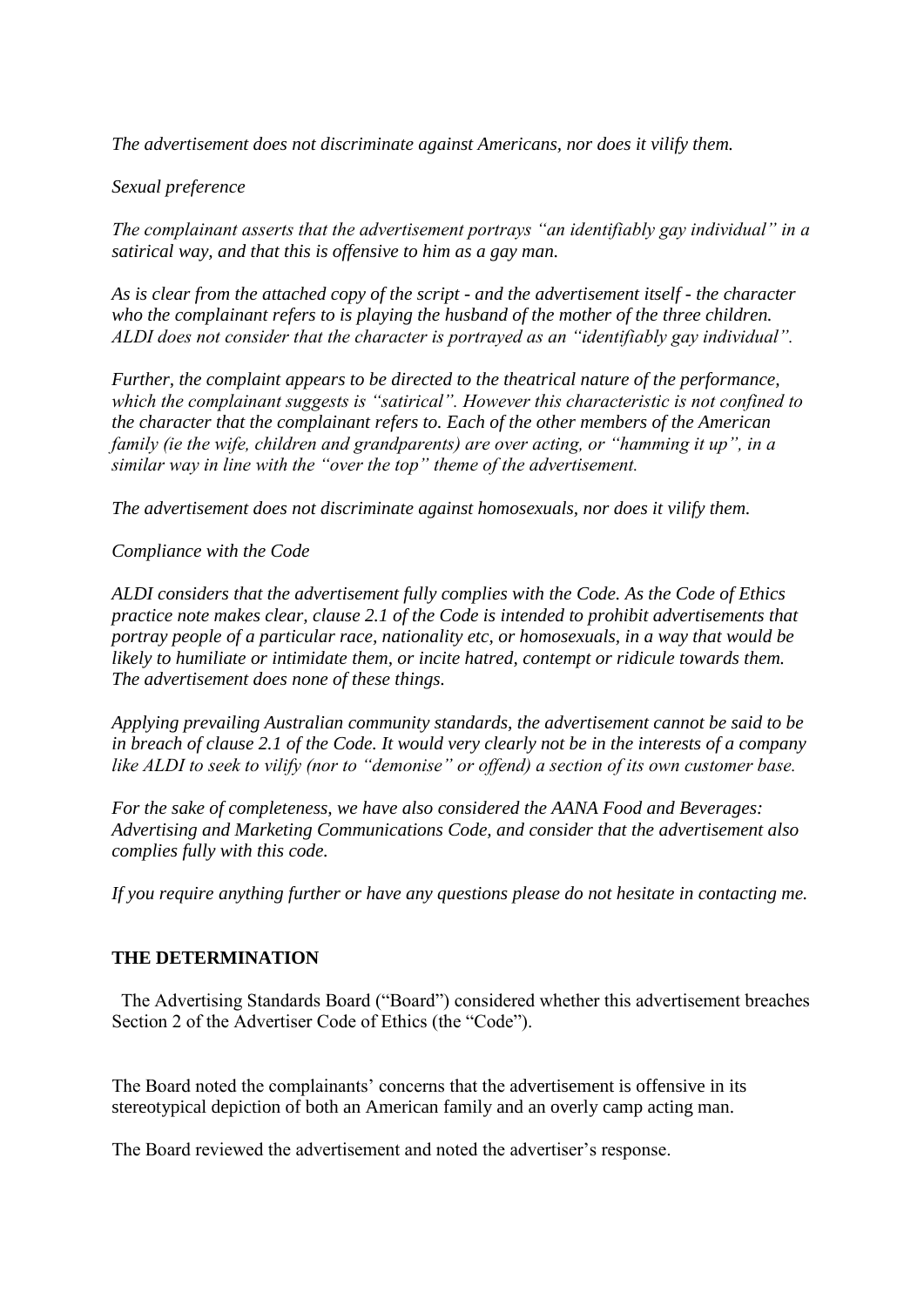*The advertisement does not discriminate against Americans, nor does it vilify them.*

### *Sexual preference*

*The complainant asserts that the advertisement portrays "an identifiably gay individual" in a satirical way, and that this is offensive to him as a gay man.*

*As is clear from the attached copy of the script - and the advertisement itself - the character who the complainant refers to is playing the husband of the mother of the three children. ALDI does not consider that the character is portrayed as an "identifiably gay individual".*

*Further, the complaint appears to be directed to the theatrical nature of the performance, which the complainant suggests is "satirical". However this characteristic is not confined to the character that the complainant refers to. Each of the other members of the American family (ie the wife, children and grandparents) are over acting, or "hamming it up", in a similar way in line with the "over the top" theme of the advertisement.*

*The advertisement does not discriminate against homosexuals, nor does it vilify them.*

*Compliance with the Code*

*ALDI considers that the advertisement fully complies with the Code. As the Code of Ethics practice note makes clear, clause 2.1 of the Code is intended to prohibit advertisements that portray people of a particular race, nationality etc, or homosexuals, in a way that would be likely to humiliate or intimidate them, or incite hatred, contempt or ridicule towards them. The advertisement does none of these things.*

*Applying prevailing Australian community standards, the advertisement cannot be said to be in breach of clause 2.1 of the Code. It would very clearly not be in the interests of a company like ALDI to seek to vilify (nor to "demonise" or offend) a section of its own customer base.*

*For the sake of completeness, we have also considered the AANA Food and Beverages: Advertising and Marketing Communications Code, and consider that the advertisement also complies fully with this code.*

*If you require anything further or have any questions please do not hesitate in contacting me.*

#### **THE DETERMINATION**

 The Advertising Standards Board ("Board") considered whether this advertisement breaches Section 2 of the Advertiser Code of Ethics (the "Code").

The Board noted the complainants' concerns that the advertisement is offensive in its stereotypical depiction of both an American family and an overly camp acting man.

The Board reviewed the advertisement and noted the advertiser's response.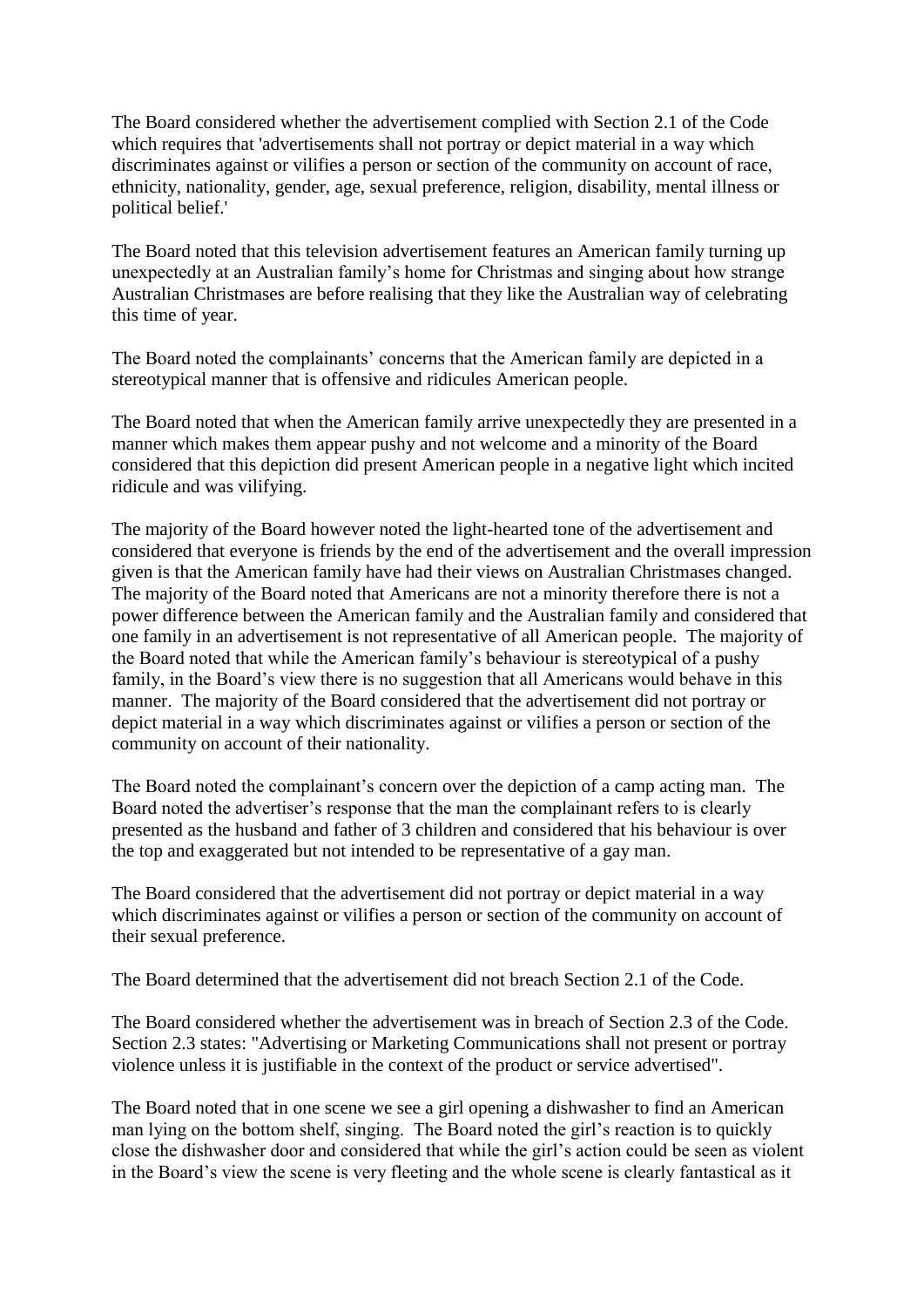The Board considered whether the advertisement complied with Section 2.1 of the Code which requires that 'advertisements shall not portray or depict material in a way which discriminates against or vilifies a person or section of the community on account of race, ethnicity, nationality, gender, age, sexual preference, religion, disability, mental illness or political belief.'

The Board noted that this television advertisement features an American family turning up unexpectedly at an Australian family's home for Christmas and singing about how strange Australian Christmases are before realising that they like the Australian way of celebrating this time of year.

The Board noted the complainants' concerns that the American family are depicted in a stereotypical manner that is offensive and ridicules American people.

The Board noted that when the American family arrive unexpectedly they are presented in a manner which makes them appear pushy and not welcome and a minority of the Board considered that this depiction did present American people in a negative light which incited ridicule and was vilifying.

The majority of the Board however noted the light-hearted tone of the advertisement and considered that everyone is friends by the end of the advertisement and the overall impression given is that the American family have had their views on Australian Christmases changed. The majority of the Board noted that Americans are not a minority therefore there is not a power difference between the American family and the Australian family and considered that one family in an advertisement is not representative of all American people. The majority of the Board noted that while the American family's behaviour is stereotypical of a pushy family, in the Board's view there is no suggestion that all Americans would behave in this manner. The majority of the Board considered that the advertisement did not portray or depict material in a way which discriminates against or vilifies a person or section of the community on account of their nationality.

The Board noted the complainant's concern over the depiction of a camp acting man. The Board noted the advertiser's response that the man the complainant refers to is clearly presented as the husband and father of 3 children and considered that his behaviour is over the top and exaggerated but not intended to be representative of a gay man.

The Board considered that the advertisement did not portray or depict material in a way which discriminates against or vilifies a person or section of the community on account of their sexual preference.

The Board determined that the advertisement did not breach Section 2.1 of the Code.

The Board considered whether the advertisement was in breach of Section 2.3 of the Code. Section 2.3 states: "Advertising or Marketing Communications shall not present or portray violence unless it is justifiable in the context of the product or service advertised".

The Board noted that in one scene we see a girl opening a dishwasher to find an American man lying on the bottom shelf, singing. The Board noted the girl's reaction is to quickly close the dishwasher door and considered that while the girl's action could be seen as violent in the Board's view the scene is very fleeting and the whole scene is clearly fantastical as it